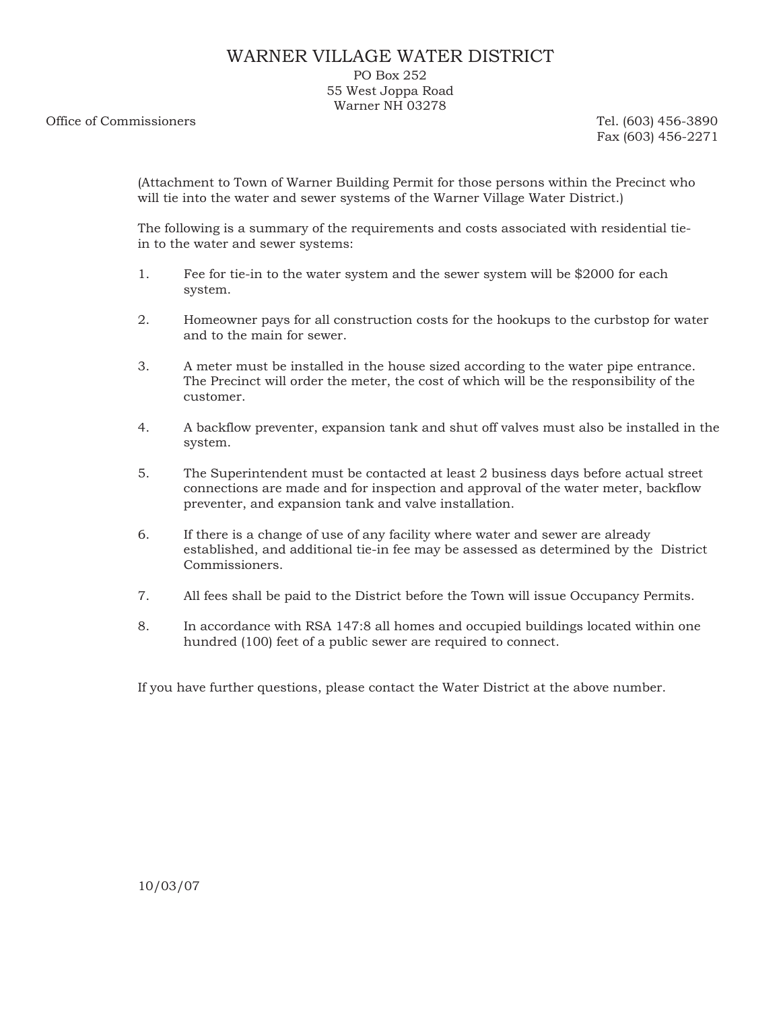## WARNER VILLAGE WATER DISTRICT

PO Box 252 55 West Joppa Road Warner NH 03278

Office of Commissioners Tel. (603) 456-3890

Fax (603) 456-2271

(Attachment to Town of Warner Building Permit for those persons within the Precinct who will tie into the water and sewer systems of the Warner Village Water District.)

The following is a summary of the requirements and costs associated with residential tiein to the water and sewer systems:

- 1. Fee for tie-in to the water system and the sewer system will be \$2000 for each system.
- 2. Homeowner pays for all construction costs for the hookups to the curbstop for water and to the main for sewer.
- 3. A meter must be installed in the house sized according to the water pipe entrance. The Precinct will order the meter, the cost of which will be the responsibility of the customer.
- 4. A backflow preventer, expansion tank and shut off valves must also be installed in the system.
- 5. The Superintendent must be contacted at least 2 business days before actual street connections are made and for inspection and approval of the water meter, backflow preventer, and expansion tank and valve installation.
- 6. If there is a change of use of any facility where water and sewer are already established, and additional tie-in fee may be assessed as determined by the District Commissioners.
- 7. All fees shall be paid to the District before the Town will issue Occupancy Permits.
- 8. In accordance with RSA 147:8 all homes and occupied buildings located within one hundred (100) feet of a public sewer are required to connect.

If you have further questions, please contact the Water District at the above number.